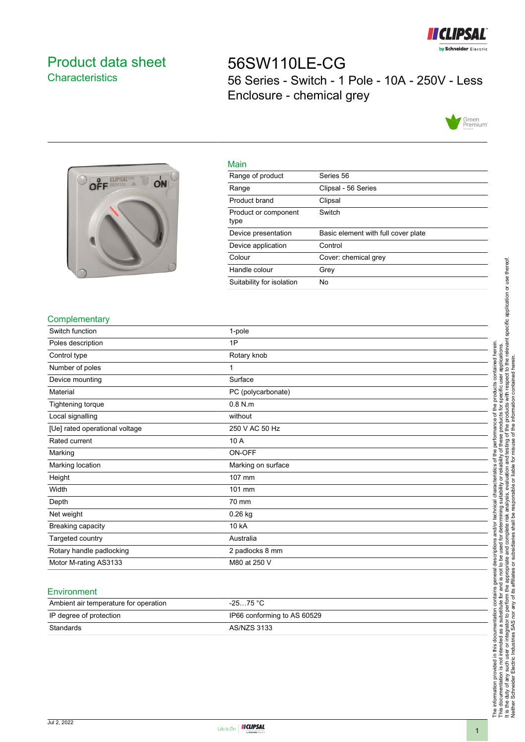

## <span id="page-0-0"></span>Product data sheet **Characteristics**

# 56SW110LE-CG 56 Series - Switch - 1 Pole - 10A - 250V - Less Enclosure - chemical grey





| Main                         |                                     |
|------------------------------|-------------------------------------|
| Range of product             | Series 56                           |
| Range                        | Clipsal - 56 Series                 |
| Product brand                | Clipsal                             |
| Product or component<br>type | Switch                              |
| Device presentation          | Basic element with full cover plate |
| Device application           | Control                             |
| Colour                       | Cover: chemical grey                |
| Handle colour                | Grey                                |
| Suitability for isolation    | No                                  |

#### **Complementary**

| Switch function                | 1-pole             |
|--------------------------------|--------------------|
| Poles description              | 1P                 |
| Control type                   | Rotary knob        |
| Number of poles                |                    |
| Device mounting                | Surface            |
| Material                       | PC (polycarbonate) |
| Tightening torque              | $0.8$ N.m          |
| Local signalling               | without            |
| [Ue] rated operational voltage | 250 V AC 50 Hz     |
| Rated current                  | 10 A               |
| Marking                        | ON-OFF             |
| Marking location               | Marking on surface |
| Height                         | 107 mm             |
| Width                          | 101 mm             |
| Depth                          | 70 mm              |
| Net weight                     | 0.26 kg            |
| Breaking capacity              | 10 kA              |
| Targeted country               | Australia          |
| Rotary handle padlocking       | 2 padlocks 8 mm    |
| Motor M-rating AS3133          | M80 at 250 V       |

#### **Environment**

| Ambient air temperature for operation | $-2575 °C$                  |
|---------------------------------------|-----------------------------|
| IP degree of protection               | IP66 conforming to AS 60529 |
| Standards                             | AS/NZS 3133                 |